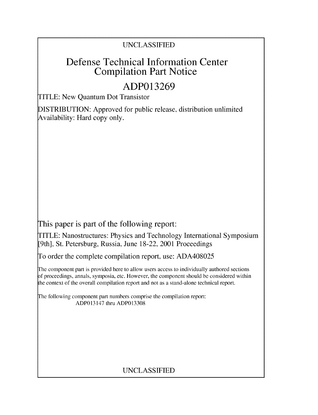### UNCLASSIFIED

# Defense Technical Information Center Compilation Part Notice

# **ADP013269**

TITLE: New Quantum Dot Transistor

DISTRIBUTION: Approved for public release, distribution unlimited Availability: Hard copy only.

This paper is part of the following report:

TITLE: Nanostructures: Physics and Technology International Symposium [9th], St. Petersburg, Russia, June 18-22, 2001 Proceedings

To order the complete compilation report, use: ADA408025

The component part is provided here to allow users access to individually authored sections f proceedings, annals, symposia, etc. However, the component should be considered within the context of the overall compilation report and not as a stand-alone technical report.

The following component part numbers comprise the compilation report: ADP013147 thru ADP013308

## UNCLASSIFIED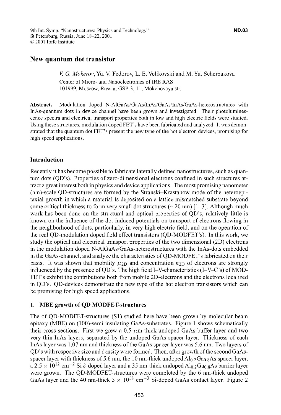### New quantum dot transistor

*V G. Mokerov,* Yu. V. Fedorov, L. E. Velikovski and M. Yu. Scherbakova Center of Micro- and Nanoelectronics of IRE RAS 101999, Moscow, Russia, GSP-3, 11, Mokchovaya str.

Abstract. Modulation doped N-AlGaAs/GaAs/InAs/GaAs/InAs/GaAs-heterostructures with InAs-quantum dots in device channel have been grown and investigated. Their photoluminescence spectra and electrical transport properties both in low and high electric fields were studied. Using these structures, modulation doped FET's have been fabricated and analyzed. It was demonstrated that the quantum dot FET's present the new type of the hot electron devices, promising for high speed applications.

#### Introduction

Recently it has become possible to fabricate laterally defined nanostructures, such as quantum dots (QD's). Properties of zero-dimensional electrons confined in such structures attract a great interest both in physics and device applications. The most promising nanometer (nm)-scale QD-structures are formed by the Stranski-Krastanow mode of the heteroepitaxial growth in which a material is deposited on a lattice mismatched substrate beyond some critical thickness to form very small dot structures ( $\sim$ 20 nm) [1–3]. Although much work has been done on the structural and optical properties of QD's, relatively little is known on the influence of the dot-induced potentials on transport of electrons flowing in the neighborhood of dots, particularly, in very high electric field, and on the operation of the real QD-modulation doped field effect transistors (QD-MODFET's). In this work, we study the optical and electrical transport properties of the two dimensional (2D) electrons in the modulation doped N-AlGaAs/GaAs-heterostructures with the InAs-dots embedded in the GaAs-channel, and analyze the characteristics of QD-MODFET's fabricated on their basis. It was shown that mobility  $\mu_{2D}$  and concentration  $n_{2D}$  of electrons are strongly influenced by the presence of QD's. The high field I-V-characteristics (I-V-C's) of MOD-FET's exhibit the contributions both from mobile 2D-electrons and the electrons localized in QD's. QD-devices demonstrate the new type of the hot electron transistors which can be promising for high speed applications.

#### 1. **MBE** growth of **QD** MODFET-structures

The of QD-MODFET-structures (SI) studied here have been grown by molecular beam epitaxy (MBE) on (100)-semi insulating GaAs-substrates. Figure 1 shows schematically their cross sections. First we grew a  $0.5-\mu$ m-thick undoped GaAs-buffer layer and two very thin InAs-layers, separated by the undoped GaAs spacer layer. Thickness of each InAs layer was 1.07 nm and thickness of the GaAs spacer layer was 5.6 nm. Two layers of QD's with respective size and density were formed. Then, after growth of the second GaAsspacer layer with thickness of 5.6 nm, the 10 nm-thick undoped  $Al_{0.2}Ga_{0.8}As$  spacer layer,  $a$  2.5  $\times$  10<sup>12</sup> cm<sup>-2</sup> Si  $\delta$ -doped layer and a 35 nm-thick undoped Al<sub>0.2</sub>Ga<sub>0.8</sub>As barrier layer were grown. The QD-MODFET-structures were completed by the 6 nm-thick undoped GaAs layer and the 40 nm-thick  $3 \times 10^{18}$  cm<sup>-3</sup> Si-doped GaAs contact layer. Figure 2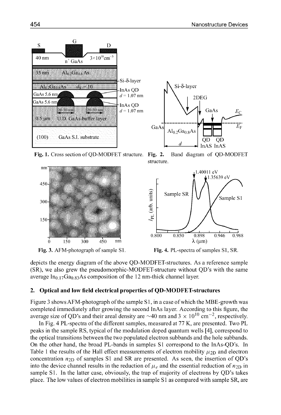

Fig. 1. Cross section of QD-MODFET structure. Fig. 2.



Fig. 3. AFM-photograph of sample S1.







depicts the energy diagram of the above QD-MODFET-structures. As a reference sample (SR), we also grew the pseudomorphic-MODFET-structure without QD's with the same average  $In_{0.17}Ga_{0.83}As$  composition of the 12 nm-thick channel layer.

#### $2.$ **Optical and low field electrical properties of QD-MODFET-structures**

Figure 3 shows AFM-photograph of the sample S1, in a case of which the MBE-growth was completed immediately after growing the second InAs layer. According to this figure, the average size of QD's and their areal density are  $\sim$ 40 nm and 3  $\times$  10<sup>10</sup> cm<sup>-2</sup>, respectively.

In Fig. 4 PL-spectra of the different samples, measured at 77 K, are presented. Two PL peaks in the sample RS, typical of the modulation doped quantum wells [4], correspond to the optical transitions between the two populated electron subbands and the hole subbands. On the other hand, the broad PL-bands in samples S1 correspond to the InAs-QD's. In Table 1 the results of the Hall effect measurements of electron mobility  $\mu_{2D}$  and electron concentration  $n_{2D}$  of samples S1 and SR are presented. As seen, the insertion of QD's into the device channel results in the reduction of  $\mu_e$  and the essential reduction of  $n_{2D}$  in sample S1. In the latter case, obviously, the trap of majority of electrons by QD's takes place. The low values of electron mobilities in sample S1 as compared with sample SR, are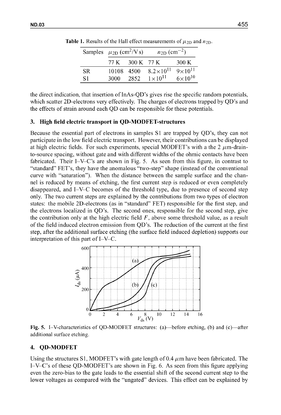|     | Samples $\mu_{2D}$ (cm <sup>2</sup> /V s) |            | $n_{\text{2D}}$ (cm <sup>-2</sup> ) |                    |
|-----|-------------------------------------------|------------|-------------------------------------|--------------------|
|     | 77 K                                      | 300 K 77 K |                                     | 300 K              |
| SR. | 10108 4500                                |            | $8.2\times10^{11}$                  | $9 \times 10^{11}$ |
| S1  | 3000                                      | 2852       | $1 \times 10^{11}$                  | $6 \times 10^{10}$ |

**Table 1.** Results of the Hall effect measurements of  $\mu_{2D}$  and  $n_{2D}$ .

the direct indication, that insertion of InAs-QD's gives rise the specific random potentials, which scatter 2D-electrons very effectively. The charges of electrons trapped by QD's and the effects of strain around each QD can be responsible for these potentials.

#### 3. High field electric transport in QD-MODFET-structures

Because the essential part of electrons in samples **SI** are trapped by QD's, they can not participate in the low field electric transport. However, their contributions can be displayed at high electric fields. For such experiments, special MODFET's with a the  $2 \mu m$ -drainto-source spacing, without gate and with different widths of the ohmic contacts have been fabricated. Their I-V-C's are shown in Fig. 5. As seen from this figure, in contrast to "standard" FET's, they have the anomalous "two-step" shape (instead of the conventional curve with "saturation"). When the distance between the sample surface and the channel is reduced by means of etching, the first current step is reduced or even completely disappeared, and I-V-C becomes of the threshold type, due to presence of second step only. The two current steps are explained by the contributions from two types of electron states: the mobile 2D-electrons (as in "standard" FET) responsible for the first step, and the electrons localized in QD's. The second ones, responsible for the second step, give the contribution only at the high electric field  $F$ , above some threshold value, as a result of the field induced electron emission from QD's. The reduction of the current at the first step, after the additional surface etching (the surface field induced depletion) supports our interpretation of this part of I-V-C.



Fig. 5. I–V-characteristics of QD-MODFET structures: (a)—before etching, (b) and (c)—after additional surface etching.

#### 4. **QD-MODFET**

Using the structures S1, MODFET's with gate length of 0.4  $\mu$ m have been fabricated. The I-V-C's of these QD-MODFET's are shown in Fig. 6. As seen from this figure applying even the zero-bias to the gate leads to the essential shift of the second current step to the lower voltages as compared with the "ungated" devices. This effect can be explained by